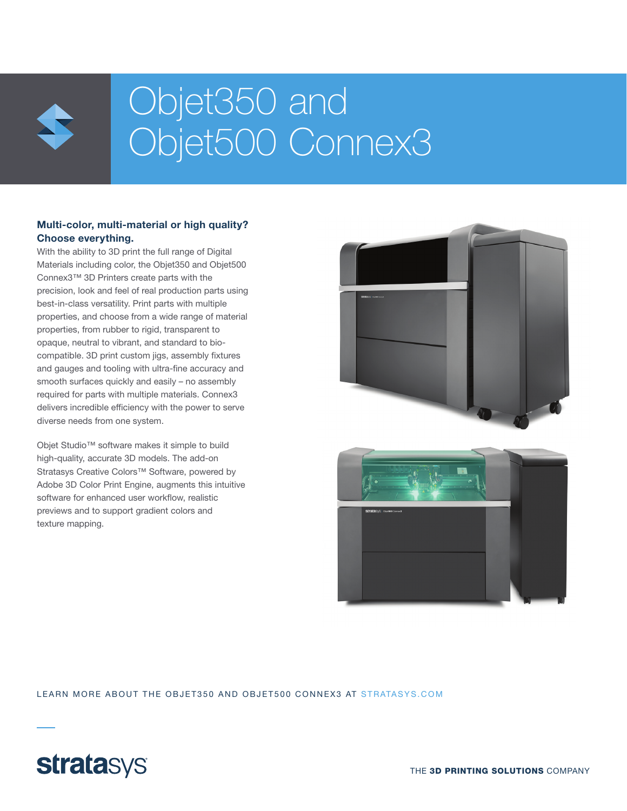

# Objet350 and Objet500 Connex3

#### Multi-color, multi-material or high quality? Choose everything.

With the ability to 3D print the full range of Digital Materials including color, the Objet350 and Objet500 Connex3™ 3D Printers create parts with the precision, look and feel of real production parts using best-in-class versatility. Print parts with multiple properties, and choose from a wide range of material properties, from rubber to rigid, transparent to opaque, neutral to vibrant, and standard to biocompatible. 3D print custom jigs, assembly fixtures and gauges and tooling with ultra-fine accuracy and smooth surfaces quickly and easily – no assembly required for parts with multiple materials. Connex3 delivers incredible efficiency with the power to serve diverse needs from one system.

Objet Studio™ software makes it simple to build high-quality, accurate 3D models. The add-on Stratasys Creative Colors™ Software, powered by Adobe 3D Color Print Engine, augments this intuitive software for enhanced user workflow, realistic previews and to support gradient colors and texture mapping.





LEARN MORE ABOUT THE OBJET350 AND OBJET500 CONNEX3 AT STRATASYS.COM